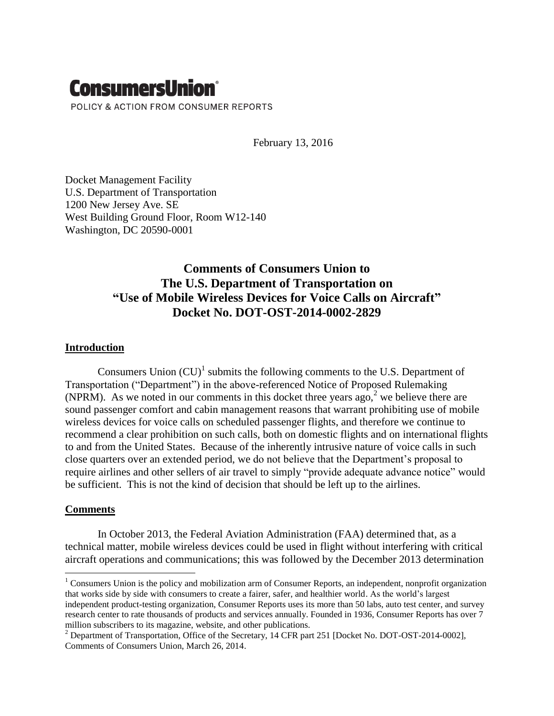# **ConsumersUnion®** POLICY & ACTION FROM CONSUMER REPORTS

February 13, 2016

Docket Management Facility U.S. Department of Transportation 1200 New Jersey Ave. SE West Building Ground Floor, Room W12-140 Washington, DC 20590-0001

## **Comments of Consumers Union to The U.S. Department of Transportation on "Use of Mobile Wireless Devices for Voice Calls on Aircraft" Docket No. DOT-OST-2014-0002-2829**

### **Introduction**

Consumers Union  $(CU)^{1}$  submits the following comments to the U.S. Department of Transportation ("Department") in the above-referenced Notice of Proposed Rulemaking (NPRM). As we noted in our comments in this docket three years ago,<sup>2</sup> we believe there are sound passenger comfort and cabin management reasons that warrant prohibiting use of mobile wireless devices for voice calls on scheduled passenger flights, and therefore we continue to recommend a clear prohibition on such calls, both on domestic flights and on international flights to and from the United States. Because of the inherently intrusive nature of voice calls in such close quarters over an extended period, we do not believe that the Department's proposal to require airlines and other sellers of air travel to simply "provide adequate advance notice" would be sufficient. This is not the kind of decision that should be left up to the airlines.

### **Comments**

 $\overline{a}$ 

In October 2013, the Federal Aviation Administration (FAA) determined that, as a technical matter, mobile wireless devices could be used in flight without interfering with critical aircraft operations and communications; this was followed by the December 2013 determination

<sup>&</sup>lt;sup>1</sup> Consumers Union is the policy and mobilization arm of Consumer Reports, an independent, nonprofit organization that works side by side with consumers to create a fairer, safer, and healthier world. As the world's largest independent product-testing organization, Consumer Reports uses its more than 50 labs, auto test center, and survey research center to rate thousands of products and services annually. Founded in 1936, Consumer Reports has over 7 million subscribers to its magazine, website, and other publications.

<sup>&</sup>lt;sup>2</sup> Department of Transportation, Office of the Secretary, 14 CFR part 251 [Docket No. DOT-OST-2014-0002], Comments of Consumers Union, March 26, 2014.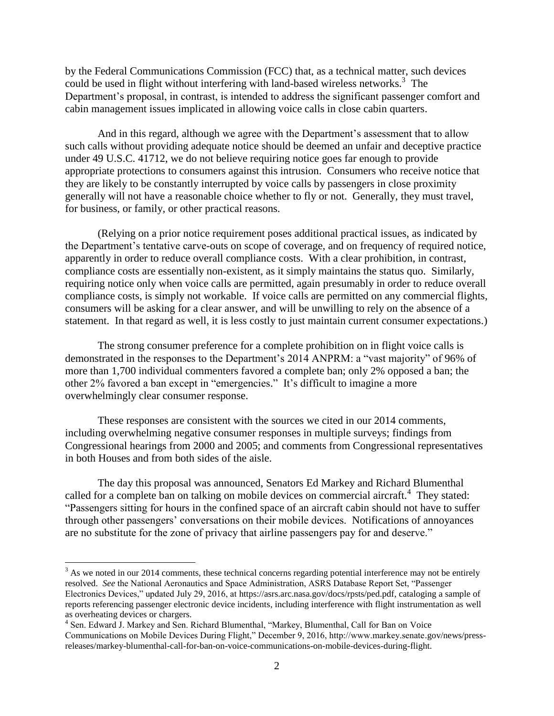by the Federal Communications Commission (FCC) that, as a technical matter, such devices could be used in flight without interfering with land-based wireless networks. $3$  The Department's proposal, in contrast, is intended to address the significant passenger comfort and cabin management issues implicated in allowing voice calls in close cabin quarters.

And in this regard, although we agree with the Department's assessment that to allow such calls without providing adequate notice should be deemed an unfair and deceptive practice under 49 U.S.C. 41712, we do not believe requiring notice goes far enough to provide appropriate protections to consumers against this intrusion. Consumers who receive notice that they are likely to be constantly interrupted by voice calls by passengers in close proximity generally will not have a reasonable choice whether to fly or not. Generally, they must travel, for business, or family, or other practical reasons.

(Relying on a prior notice requirement poses additional practical issues, as indicated by the Department's tentative carve-outs on scope of coverage, and on frequency of required notice, apparently in order to reduce overall compliance costs. With a clear prohibition, in contrast, compliance costs are essentially non-existent, as it simply maintains the status quo. Similarly, requiring notice only when voice calls are permitted, again presumably in order to reduce overall compliance costs, is simply not workable. If voice calls are permitted on any commercial flights, consumers will be asking for a clear answer, and will be unwilling to rely on the absence of a statement. In that regard as well, it is less costly to just maintain current consumer expectations.)

The strong consumer preference for a complete prohibition on in flight voice calls is demonstrated in the responses to the Department's 2014 ANPRM: a "vast majority" of 96% of more than 1,700 individual commenters favored a complete ban; only 2% opposed a ban; the other 2% favored a ban except in "emergencies." It's difficult to imagine a more overwhelmingly clear consumer response.

These responses are consistent with the sources we cited in our 2014 comments, including overwhelming negative consumer responses in multiple surveys; findings from Congressional hearings from 2000 and 2005; and comments from Congressional representatives in both Houses and from both sides of the aisle.

The day this proposal was announced, Senators Ed Markey and Richard Blumenthal called for a complete ban on talking on mobile devices on commercial aircraft. $4$  They stated: "Passengers sitting for hours in the confined space of an aircraft cabin should not have to suffer through other passengers' conversations on their mobile devices. Notifications of annoyances are no substitute for the zone of privacy that airline passengers pay for and deserve."

 $\overline{a}$ 

 $3$  As we noted in our 2014 comments, these technical concerns regarding potential interference may not be entirely resolved. *See* the National Aeronautics and Space Administration, ASRS Database Report Set, "Passenger Electronics Devices," updated July 29, 2016, at [https://asrs.arc.nasa.gov/docs/rpsts/ped.pdf,](https://asrs.arc.nasa.gov/docs/rpsts/ped.pdf) cataloging a sample of reports referencing passenger electronic device incidents, including interference with flight instrumentation as well as overheating devices or chargers.

<sup>4</sup> Sen. Edward J. Markey and Sen. Richard Blumenthal, "Markey, Blumenthal, Call for Ban on Voice Communications on Mobile Devices During Flight," December 9, 2016, http://www.markey.senate.gov/news/pressreleases/markey-blumenthal-call-for-ban-on-voice-communications-on-mobile-devices-during-flight.